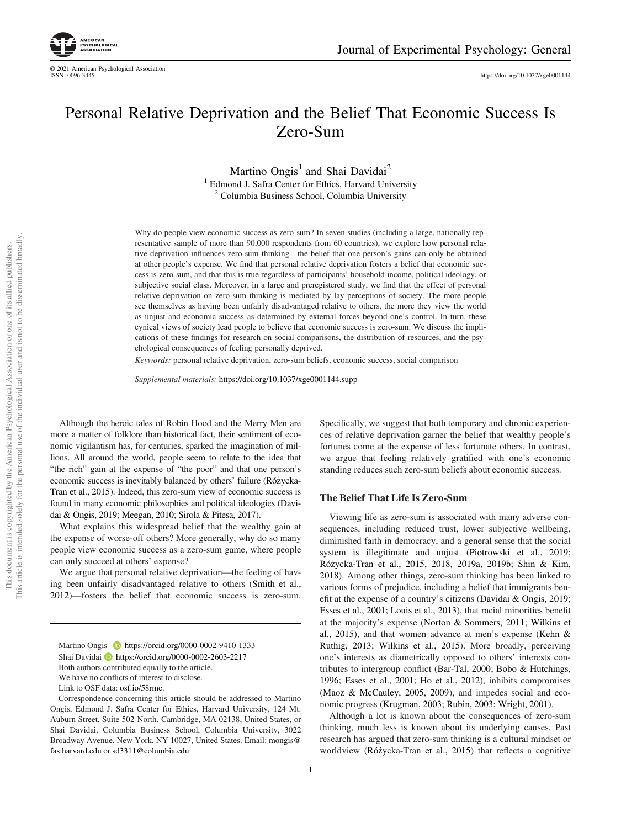

© 2021 American Psychological Association

https://doi.org/10.1037/xge0001144

# Personal Relative Deprivation and the Belief That Economic Success Is Zero-Sum

Martino Ongis<sup>1</sup> and Shai Davidai<sup>2</sup> <sup>1</sup> Edmond J. Safra Center for Ethics, Harvard University <sup>2</sup> Columbia Business School, Columbia University

Why do people view economic success as zero-sum? In seven studies (including a large, nationally representative sample of more than 90,000 respondents from 60 countries), we explore how personal relative deprivation influences zero-sum thinking—the belief that one person's gains can only be obtained at other people's expense. We find that personal relative deprivation fosters a belief that economic success is zero-sum, and that this is true regardless of participants' household income, political ideology, or subjective social class. Moreover, in a large and preregistered study, we find that the effect of personal relative deprivation on zero-sum thinking is mediated by lay perceptions of society. The more people see themselves as having been unfairly disadvantaged relative to others, the more they view the world as unjust and economic success as determined by external forces beyond one's control. In turn, these cynical views of society lead people to believe that economic success is zero-sum. We discuss the implications of these findings for research on social comparisons, the distribution of resources, and the psychological consequences of feeling personally deprived.

*Keywords:* personal relative deprivation, zero-sum beliefs, economic success, social comparison

*Supplemental materials:* https://doi.org/10.1037/xge0001144.supp

Although the heroic tales of Robin Hood and the Merry Men are more a matter of folklore than historical fact, their sentiment of economic vigilantism has, for centuries, sparked the imagination of millions. All around the world, people seem to relate to the idea that "the rich" gain at the expense of "the poor" and that one person's economic success is inevitably balanced by others' failure (Różycka-Tran et al., 2015). Indeed, this zero-sum view of economic success is found in many economic philosophies and political ideologies (Davidai & Ongis, 2019; Meegan, 2010; Sirola & Pitesa, 2017).

What explains this widespread belief that the wealthy gain at the expense of worse-off others? More generally, why do so many people view economic success as a zero-sum game, where people can only succeed at others' expense?

We argue that personal relative deprivation—the feeling of having been unfairly disadvantaged relative to others (Smith et al., 2012)—fosters the belief that economic success is zero-sum.

Specifically, we suggest that both temporary and chronic experiences of relative deprivation garner the belief that wealthy people's fortunes come at the expense of less fortunate others. In contrast, we argue that feeling relatively gratified with one's economic standing reduces such zero-sum beliefs about economic success.

# The Belief That Life Is Zero-Sum

Viewing life as zero-sum is associated with many adverse consequences, including reduced trust, lower subjective wellbeing, diminished faith in democracy, and a general sense that the social system is illegitimate and unjust (Piotrowski et al., 2019; Różycka-Tran et al., 2015, 2018, 2019a, 2019b; Shin & Kim, 2018). Among other things, zero-sum thinking has been linked to various forms of prejudice, including a belief that immigrants benefit at the expense of a country's citizens (Davidai & Ongis, 2019; Esses et al., 2001; Louis et al., 2013), that racial minorities benefit at the majority's expense (Norton & Sommers, 2011; Wilkins et al., 2015), and that women advance at men's expense (Kehn & Ruthig, 2013; Wilkins et al., 2015). More broadly, perceiving one's interests as diametrically opposed to others' interests contributes to intergroup conflict (Bar-Tal, 2000; Bobo & Hutchings, 1996; Esses et al., 2001; Ho et al., 2012), inhibits compromises (Maoz & McCauley, 2005, 2009), and impedes social and economic progress (Krugman, 2003; Rubin, 2003; Wright, 2001).

Although a lot is known about the consequences of zero-sum thinking, much less is known about its underlying causes. Past research has argued that zero-sum thinking is a cultural mindset or worldview (Różycka-Tran et al., 2015) that reflects a cognitive

Martino Ongis **b** https://orcid.org/0000-0002-9410-1333 Shai Davidai https://orcid.org/0000-0002-2603-2217 Both authors contributed equally to the article. We have no conflicts of interest to disclose.

Link to OSE data: osf.io/58rme.

Correspondence concerning this article should be addressed to Martino Ongis, Edmond J. Safra Center for Ethics, Harvard University, 124 Mt. Auburn Street, Suite 502-North, Cambridge, MA 02138, United States, or Shai Davidai, Columbia Business School, Columbia University, 3022 Broadway Avenue, New York, NY 10027, United States. Email: mongis@ fas.harvard.edu or sd3311@columbia.edu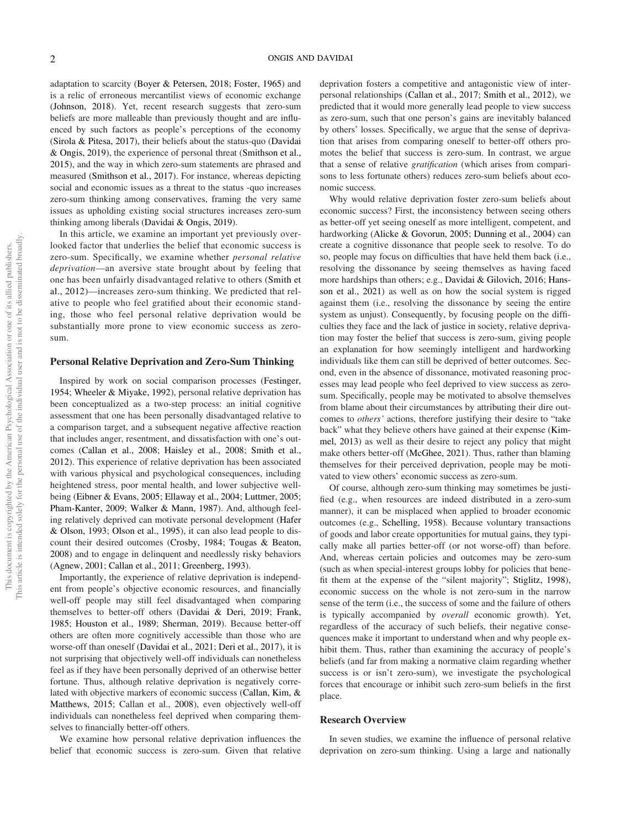adaptation to scarcity (Boyer & Petersen, 2018; Foster, 1965) and is a relic of erroneous mercantilist views of economic exchange (Johnson, 2018). Yet, recent research suggests that zero-sum beliefs are more malleable than previously thought and are influenced by such factors as people's perceptions of the economy (Sirola & Pitesa, 2017), their beliefs about the status-quo (Davidai & Ongis, 2019), the experience of personal threat (Smithson et al., 2015), and the way in which zero-sum statements are phrased and measured (Smithson et al., 2017). For instance, whereas depicting social and economic issues as a threat to the status -quo increases zero-sum thinking among conservatives, framing the very same issues as upholding existing social structures increases zero-sum thinking among liberals (Davidai & Ongis, 2019).

In this article, we examine an important yet previously overlooked factor that underlies the belief that economic success is zero-sum. Specifically, we examine whether *personal relative deprivation*—an aversive state brought about by feeling that one has been unfairly disadvantaged relative to others (Smith et al., 2012)—increases zero-sum thinking. We predicted that relative to people who feel gratified about their economic standing, those who feel personal relative deprivation would be substantially more prone to view economic success as zerosum.

# Personal Relative Deprivation and Zero-Sum Thinking

Inspired by work on social comparison processes (Festinger, 1954; Wheeler & Miyake, 1992), personal relative deprivation has been conceptualized as a two-step process: an initial cognitive assessment that one has been personally disadvantaged relative to a comparison target, and a subsequent negative affective reaction that includes anger, resentment, and dissatisfaction with one's outcomes (Callan et al., 2008; Haisley et al., 2008; Smith et al., 2012). This experience of relative deprivation has been associated with various physical and psychological consequences, including heightened stress, poor mental health, and lower subjective wellbeing (Eibner & Evans, 2005; Ellaway et al., 2004; Luttmer, 2005; Pham-Kanter, 2009; Walker & Mann, 1987). And, although feeling relatively deprived can motivate personal development (Hafer & Olson, 1993; Olson et al., 1995), it can also lead people to discount their desired outcomes (Crosby, 1984; Tougas & Beaton, 2008) and to engage in delinquent and needlessly risky behaviors (Agnew, 2001; Callan et al., 2011; Greenberg, 1993).

Importantly, the experience of relative deprivation is independent from people's objective economic resources, and financially well-off people may still feel disadvantaged when comparing themselves to better-off others (Davidai & Deri, 2019; Frank, 1985; Houston et al., 1989; Sherman, 2019). Because better-off others are often more cognitively accessible than those who are worse-off than oneself (Davidai et al., 2021; Deri et al., 2017), it is not surprising that objectively well-off individuals can nonetheless feel as if they have been personally deprived of an otherwise better fortune. Thus, although relative deprivation is negatively correlated with objective markers of economic success (Callan, Kim, & Matthews, 2015; Callan et al., 2008), even objectively well-off individuals can nonetheless feel deprived when comparing themselves to financially better-off others.

We examine how personal relative deprivation influences the belief that economic success is zero-sum. Given that relative deprivation fosters a competitive and antagonistic view of interpersonal relationships (Callan et al., 2017; Smith et al., 2012), we predicted that it would more generally lead people to view success as zero-sum, such that one person's gains are inevitably balanced by others' losses. Specifically, we argue that the sense of deprivation that arises from comparing oneself to better-off others promotes the belief that success is zero-sum. In contrast, we argue that a sense of relative *grati*fi*cation* (which arises from comparisons to less fortunate others) reduces zero-sum beliefs about economic success.

Why would relative deprivation foster zero-sum beliefs about economic success? First, the inconsistency between seeing others as better-off yet seeing oneself as more intelligent, competent, and hardworking (Alicke & Govorun, 2005; Dunning et al., 2004) can create a cognitive dissonance that people seek to resolve. To do so, people may focus on difficulties that have held them back (i.e., resolving the dissonance by seeing themselves as having faced more hardships than others; e.g., Davidai & Gilovich, 2016; Hansson et al., 2021) as well as on how the social system is rigged against them (i.e., resolving the dissonance by seeing the entire system as unjust). Consequently, by focusing people on the difficulties they face and the lack of justice in society, relative deprivation may foster the belief that success is zero-sum, giving people an explanation for how seemingly intelligent and hardworking individuals like them can still be deprived of better outcomes. Second, even in the absence of dissonance, motivated reasoning processes may lead people who feel deprived to view success as zerosum. Specifically, people may be motivated to absolve themselves from blame about their circumstances by attributing their dire outcomes to *others*' actions, therefore justifying their desire to "take back" what they believe others have gained at their expense (Kimmel, 2013) as well as their desire to reject any policy that might make others better-off (McGhee, 2021). Thus, rather than blaming themselves for their perceived deprivation, people may be motivated to view others' economic success as zero-sum.

Of course, although zero-sum thinking may sometimes be justified (e.g., when resources are indeed distributed in a zero-sum manner), it can be misplaced when applied to broader economic outcomes (e.g., Schelling, 1958). Because voluntary transactions of goods and labor create opportunities for mutual gains, they typically make all parties better-off (or not worse-off) than before. And, whereas certain policies and outcomes may be zero-sum (such as when special-interest groups lobby for policies that benefit them at the expense of the "silent majority"; Stiglitz, 1998), economic success on the whole is not zero-sum in the narrow sense of the term (i.e., the success of some and the failure of others is typically accompanied by *overall* economic growth). Yet, regardless of the accuracy of such beliefs, their negative consequences make it important to understand when and why people exhibit them. Thus, rather than examining the accuracy of people's beliefs (and far from making a normative claim regarding whether success is or isn't zero-sum), we investigate the psychological forces that encourage or inhibit such zero-sum beliefs in the first place.

#### Research Overview

In seven studies, we examine the influence of personal relative deprivation on zero-sum thinking. Using a large and nationally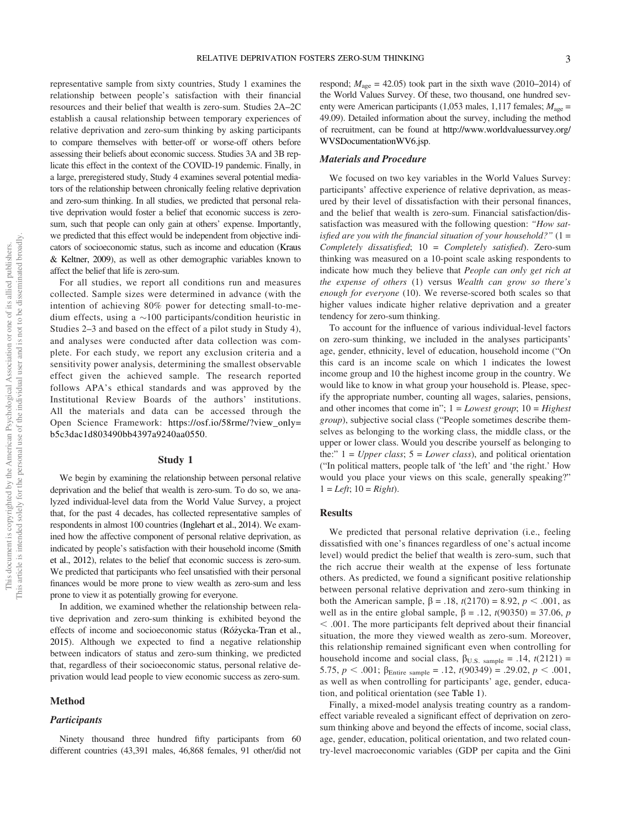representative sample from sixty countries, Study 1 examines the relationship between people's satisfaction with their financial resources and their belief that wealth is zero-sum. Studies 2A–2C establish a causal relationship between temporary experiences of relative deprivation and zero-sum thinking by asking participants to compare themselves with better-off or worse-off others before assessing their beliefs about economic success. Studies 3A and 3B replicate this effect in the context of the COVID-19 pandemic. Finally, in a large, preregistered study, Study 4 examines several potential mediators of the relationship between chronically feeling relative deprivation and zero-sum thinking. In all studies, we predicted that personal relative deprivation would foster a belief that economic success is zerosum, such that people can only gain at others' expense. Importantly, we predicted that this effect would be independent from objective indicators of socioeconomic status, such as income and education (Kraus & Keltner, 2009), as well as other demographic variables known to affect the belief that life is zero-sum.

For all studies, we report all conditions run and measures collected. Sample sizes were determined in advance (with the intention of achieving 80% power for detecting small-to-medium effects, using a  $\sim$ 100 participants/condition heuristic in Studies 2–3 and based on the effect of a pilot study in Study 4), and analyses were conducted after data collection was complete. For each study, we report any exclusion criteria and a sensitivity power analysis, determining the smallest observable effect given the achieved sample. The research reported follows APA's ethical standards and was approved by the Institutional Review Boards of the authors' institutions. All the materials and data can be accessed through the Open Science Framework: https://osf.io/58rme/?view\_only= b5c3dac1d803490bb4397a9240aa0550.

# Study 1

We begin by examining the relationship between personal relative deprivation and the belief that wealth is zero-sum. To do so, we analyzed individual-level data from the World Value Survey, a project that, for the past 4 decades, has collected representative samples of respondents in almost 100 countries (Inglehart et al., 2014). We examined how the affective component of personal relative deprivation, as indicated by people's satisfaction with their household income (Smith et al., 2012), relates to the belief that economic success is zero-sum. We predicted that participants who feel unsatisfied with their personal finances would be more prone to view wealth as zero-sum and less prone to view it as potentially growing for everyone.

In addition, we examined whether the relationship between relative deprivation and zero-sum thinking is exhibited beyond the effects of income and socioeconomic status (Rózycka-Tran et al., \_ 2015). Although we expected to find a negative relationship between indicators of status and zero-sum thinking, we predicted that, regardless of their socioeconomic status, personal relative deprivation would lead people to view economic success as zero-sum.

# Method

#### **Participants**

Ninety thousand three hundred fifty participants from 60 different countries (43,391 males, 46,868 females, 91 other/did not respond;  $M_{\text{age}} = 42.05$ ) took part in the sixth wave (2010–2014) of the World Values Survey. Of these, two thousand, one hundred seventy were American participants (1,053 males, 1,117 females;  $M_{\text{age}} =$ 49.09). Detailed information about the survey, including the method of recruitment, can be found at http://www.worldvaluessurvey.org/ WVSDocumentationWV6.jsp.

# Materials and Procedure

We focused on two key variables in the World Values Survey: participants' affective experience of relative deprivation, as measured by their level of dissatisfaction with their personal finances, and the belief that wealth is zero-sum. Financial satisfaction/dissatisfaction was measured with the following question: "*How satis*fi*ed are you with the* fi*nancial situation of your household?*" (1 = *Completely dissatis*fi*ed*; 10 = *Completely satis*fi*ed*). Zero-sum thinking was measured on a 10-point scale asking respondents to indicate how much they believe that *People can only get rich at the expense of others* (1) versus *Wealth can grow so there*'*s enough for everyone* (10). We reverse-scored both scales so that higher values indicate higher relative deprivation and a greater tendency for zero-sum thinking.

To account for the influence of various individual-level factors on zero-sum thinking, we included in the analyses participants' age, gender, ethnicity, level of education, household income ("On this card is an income scale on which 1 indicates the lowest income group and 10 the highest income group in the country. We would like to know in what group your household is. Please, specify the appropriate number, counting all wages, salaries, pensions, and other incomes that come in";1= *Lowest group*; 10 = *Highest group*), subjective social class ("People sometimes describe themselves as belonging to the working class, the middle class, or the upper or lower class. Would you describe yourself as belonging to the:"  $1 = Upper class$ ;  $5 = Lower class$ , and political orientation ("In political matters, people talk of 'the left' and 'the right.' How would you place your views on this scale, generally speaking?"  $1 = Left$ ;  $10 = Right$ ).

# Results

We predicted that personal relative deprivation (i.e., feeling dissatisfied with one's finances regardless of one's actual income level) would predict the belief that wealth is zero-sum, such that the rich accrue their wealth at the expense of less fortunate others. As predicted, we found a significant positive relationship between personal relative deprivation and zero-sum thinking in both the American sample,  $\beta = .18$ ,  $t(2170) = 8.92$ ,  $p < .001$ , as well as in the entire global sample,  $\beta = .12$ ,  $t(90350) = 37.06$ , *p*  $<$  .001. The more participants felt deprived about their financial situation, the more they viewed wealth as zero-sum. Moreover, this relationship remained significant even when controlling for household income and social class,  $\beta_{U.S. \ sample} = .14$ ,  $t(2121) =$ 5.75,  $p < .001$ ;  $\beta_{\text{Entire sample}} = .12$ ,  $t(90349) = .29.02$ ,  $p < .001$ , as well as when controlling for participants' age, gender, education, and political orientation (see Table 1).

Finally, a mixed-model analysis treating country as a randomeffect variable revealed a significant effect of deprivation on zerosum thinking above and beyond the effects of income, social class, age, gender, education, political orientation, and two related country-level macroeconomic variables (GDP per capita and the Gini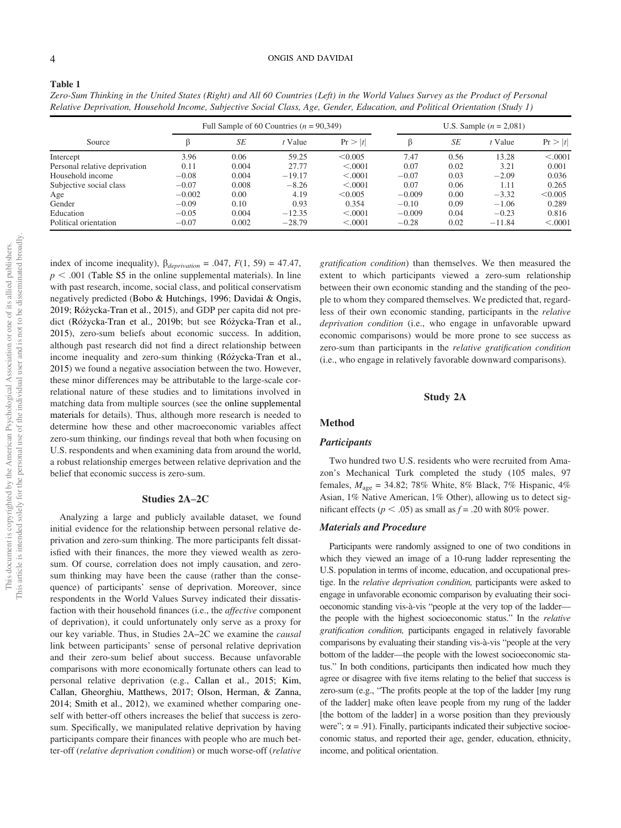#### 4 ONGIS AND DAVIDAI

| ć<br>apr.<br>3<br>l<br>₿<br>ś<br>ļ<br>i<br>ċ<br>i<br>)<br>Ì<br>ŗ<br>l<br>ć<br>i<br>ì<br>)<br>j<br>J<br>$\frac{1}{2}$ |             |
|----------------------------------------------------------------------------------------------------------------------|-------------|
|                                                                                                                      | Ξ<br>į<br>į |
|                                                                                                                      |             |

Table 1

*Zero-Sum Thinking in the United States (Right) and All 60 Countries (Left) in the World Values Survey as the Product of Personal Relative Deprivation, Household Income, Subjective Social Class, Age, Gender, Education, and Political Orientation (Study 1)*

| Source                        | Full Sample of 60 Countries ( $n = 90,349$ ) |       |           |         | U.S. Sample $(n = 2,081)$ |      |          |         |
|-------------------------------|----------------------------------------------|-------|-----------|---------|---------------------------|------|----------|---------|
|                               |                                              | SE    | $t$ Value | Pr >  t | ß                         | SE   | t Value  | Pr >  t |
| Intercept                     | 3.96                                         | 0.06  | 59.25     | < 0.005 | 7.47                      | 0.56 | 13.28    | < .0001 |
| Personal relative deprivation | 0.11                                         | 0.004 | 27.77     | < .0001 | 0.07                      | 0.02 | 3.21     | 0.001   |
| Household income              | $-0.08$                                      | 0.004 | $-19.17$  | < 0.001 | $-0.07$                   | 0.03 | $-2.09$  | 0.036   |
| Subjective social class       | $-0.07$                                      | 0.008 | $-8.26$   | < .0001 | 0.07                      | 0.06 | 1.11     | 0.265   |
| Age                           | $-0.002$                                     | 0.00  | 4.19      | < 0.005 | $-0.009$                  | 0.00 | $-3.32$  | < 0.005 |
| Gender                        | $-0.09$                                      | 0.10  | 0.93      | 0.354   | $-0.10$                   | 0.09 | $-1.06$  | 0.289   |
| Education                     | $-0.05$                                      | 0.004 | $-12.35$  | < .0001 | $-0.009$                  | 0.04 | $-0.23$  | 0.816   |
| Political orientation         | $-0.07$                                      | 0.002 | $-28.79$  | < .0001 | $-0.28$                   | 0.02 | $-11.84$ | < .0001 |

index of income inequality),  $\beta_{deprivation} = .047, F(1, 59) = 47.47$ ,  $p < .001$  (Table S5 in the online supplemental materials). In line with past research, income, social class, and political conservatism negatively predicted (Bobo & Hutchings, 1996; Davidai & Ongis, 2019; Różycka-Tran et al., 2015), and GDP per capita did not predict (Różycka-Tran et al., 2019b; but see Różycka-Tran et al., 2015), zero-sum beliefs about economic success. In addition, although past research did not find a direct relationship between income inequality and zero-sum thinking (Rózycka-Tran et al., \_ 2015) we found a negative association between the two. However, these minor differences may be attributable to the large-scale correlational nature of these studies and to limitations involved in matching data from multiple sources (see the online supplemental materials for details). Thus, although more research is needed to determine how these and other macroeconomic variables affect zero-sum thinking, our findings reveal that both when focusing on U.S. respondents and when examining data from around the world, a robust relationship emerges between relative deprivation and the belief that economic success is zero-sum.

### Studies 2A–2C

Analyzing a large and publicly available dataset, we found initial evidence for the relationship between personal relative deprivation and zero-sum thinking. The more participants felt dissatisfied with their finances, the more they viewed wealth as zerosum. Of course, correlation does not imply causation, and zerosum thinking may have been the cause (rather than the consequence) of participants' sense of deprivation. Moreover, since respondents in the World Values Survey indicated their dissatisfaction with their household finances (i.e., the *affective* component of deprivation), it could unfortunately only serve as a proxy for our key variable. Thus, in Studies 2A–2C we examine the *causal* link between participants' sense of personal relative deprivation and their zero-sum belief about success. Because unfavorable comparisons with more economically fortunate others can lead to personal relative deprivation (e.g., Callan et al., 2015; Kim, Callan, Gheorghiu, Matthews, 2017; Olson, Herman, & Zanna, 2014; Smith et al., 2012), we examined whether comparing oneself with better-off others increases the belief that success is zerosum. Specifically, we manipulated relative deprivation by having participants compare their finances with people who are much better-off (*relative deprivation condition*) or much worse-off (*relative*

*grati*fi*cation condition*) than themselves. We then measured the extent to which participants viewed a zero-sum relationship between their own economic standing and the standing of the people to whom they compared themselves. We predicted that, regardless of their own economic standing, participants in the *relative deprivation condition* (i.e., who engage in unfavorable upward economic comparisons) would be more prone to see success as zero-sum than participants in the *relative grati*fi*cation condition* (i.e., who engage in relatively favorable downward comparisons).

# Study 2A

#### Method

# **Participants**

Two hundred two U.S. residents who were recruited from Amazon's Mechanical Turk completed the study (105 males, 97 females, *M*age = 34.82; 78% White, 8% Black, 7% Hispanic, 4% Asian, 1% Native American, 1% Other), allowing us to detect significant effects ( $p < .05$ ) as small as  $f = .20$  with 80% power.

# Materials and Procedure

Participants were randomly assigned to one of two conditions in which they viewed an image of a 10-rung ladder representing the U.S. population in terms of income, education, and occupational prestige. In the *relative deprivation condition,* participants were asked to engage in unfavorable economic comparison by evaluating their socioeconomic standing vis-à-vis "people at the very top of the ladder the people with the highest socioeconomic status." In the *relative grati*fi*cation condition,* participants engaged in relatively favorable comparisons by evaluating their standing vis-à-vis "people at the very bottom of the ladder—the people with the lowest socioeconomic status." In both conditions, participants then indicated how much they agree or disagree with five items relating to the belief that success is zero-sum (e.g., "The profits people at the top of the ladder [my rung of the ladder] make often leave people from my rung of the ladder [the bottom of the ladder] in a worse position than they previously were";  $\alpha$  = .91). Finally, participants indicated their subjective socioeconomic status, and reported their age, gender, education, ethnicity, income, and political orientation.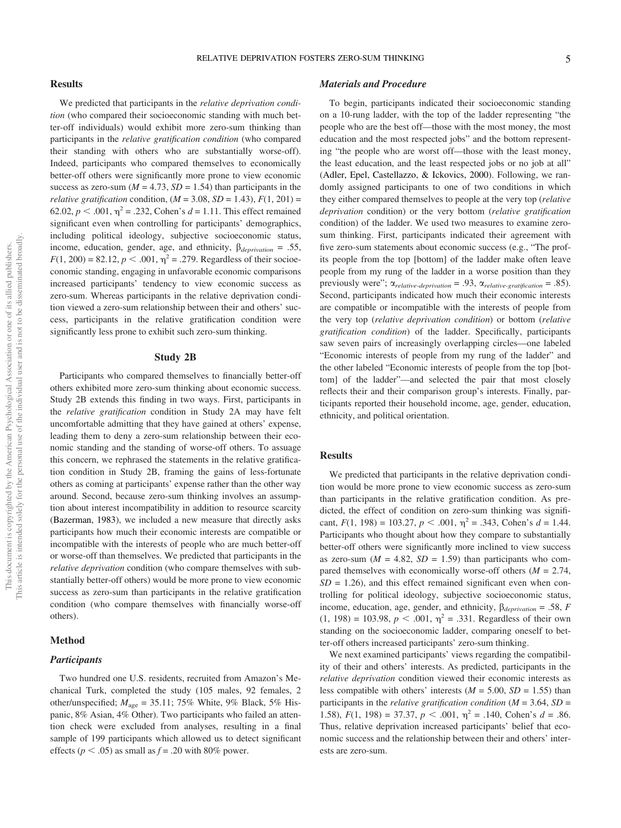We predicted that participants in the *relative deprivation condition* (who compared their socioeconomic standing with much better-off individuals) would exhibit more zero-sum thinking than participants in the *relative grati*fi*cation condition* (who compared their standing with others who are substantially worse-off). Indeed, participants who compared themselves to economically better-off others were significantly more prone to view economic success as zero-sum ( $M = 4.73$ ,  $SD = 1.54$ ) than participants in the *relative gratification* condition,  $(M = 3.08, SD = 1.43)$ ,  $F(1, 201) =$ 62.02,  $p < .001$ ,  $\eta^2 = .232$ , Cohen's  $d = 1.11$ . This effect remained significant even when controlling for participants' demographics, including political ideology, subjective socioeconomic status, income, education, gender, age, and ethnicity,  $\beta_{deprivation} = .55$ ,  $F(1, 200) = 82.12, p < .001, \eta^2 = .279$ . Regardless of their socioeconomic standing, engaging in unfavorable economic comparisons increased participants' tendency to view economic success as zero-sum. Whereas participants in the relative deprivation condition viewed a zero-sum relationship between their and others' success, participants in the relative gratification condition were significantly less prone to exhibit such zero-sum thinking.

#### Study 2B

Participants who compared themselves to financially better-off others exhibited more zero-sum thinking about economic success. Study 2B extends this finding in two ways. First, participants in the *relative grati*fi*cation* condition in Study 2A may have felt uncomfortable admitting that they have gained at others' expense, leading them to deny a zero-sum relationship between their economic standing and the standing of worse-off others. To assuage this concern, we rephrased the statements in the relative gratification condition in Study 2B, framing the gains of less-fortunate others as coming at participants' expense rather than the other way around. Second, because zero-sum thinking involves an assumption about interest incompatibility in addition to resource scarcity (Bazerman, 1983), we included a new measure that directly asks participants how much their economic interests are compatible or incompatible with the interests of people who are much better-off or worse-off than themselves. We predicted that participants in the *relative deprivation* condition (who compare themselves with substantially better-off others) would be more prone to view economic success as zero-sum than participants in the relative gratification condition (who compare themselves with financially worse-off others).

# Method

# **Participants**

Two hundred one U.S. residents, recruited from Amazon's Mechanical Turk, completed the study (105 males, 92 females, 2 other/unspecified;  $M_{\text{age}} = 35.11$ ; 75% White, 9% Black, 5% Hispanic, 8% Asian, 4% Other). Two participants who failed an attention check were excluded from analyses, resulting in a final sample of 199 participants which allowed us to detect significant effects ( $p < .05$ ) as small as  $f = .20$  with 80% power.

# Materials and Procedure

To begin, participants indicated their socioeconomic standing on a 10-rung ladder, with the top of the ladder representing "the people who are the best off—those with the most money, the most education and the most respected jobs" and the bottom representing "the people who are worst off—those with the least money, the least education, and the least respected jobs or no job at all" (Adler, Epel, Castellazzo, & Ickovics, 2000). Following, we randomly assigned participants to one of two conditions in which they either compared themselves to people at the very top (*relative deprivation* condition) or the very bottom (*relative grati*fi*cation* condition) of the ladder. We used two measures to examine zerosum thinking. First, participants indicated their agreement with five zero-sum statements about economic success (e.g., "The profits people from the top [bottom] of the ladder make often leave people from my rung of the ladder in a worse position than they previously were";  $\alpha_{relative\text{-}derivation} = .93$ ,  $\alpha_{relative\text{-}gratification} = .85$ ). Second, participants indicated how much their economic interests are compatible or incompatible with the interests of people from the very top (*relative deprivation condition*) or bottom (*relative grati*fi*cation condition*) of the ladder. Specifically, participants saw seven pairs of increasingly overlapping circles—one labeled "Economic interests of people from my rung of the ladder" and the other labeled "Economic interests of people from the top [bottom] of the ladder"—and selected the pair that most closely reflects their and their comparison group's interests. Finally, participants reported their household income, age, gender, education, ethnicity, and political orientation.

# Results

We predicted that participants in the relative deprivation condition would be more prone to view economic success as zero-sum than participants in the relative gratification condition. As predicted, the effect of condition on zero-sum thinking was significant,  $F(1, 198) = 103.27, p < .001, \eta^2 = .343$ , Cohen's  $d = 1.44$ . Participants who thought about how they compare to substantially better-off others were significantly more inclined to view success as zero-sum ( $M = 4.82$ ,  $SD = 1.59$ ) than participants who compared themselves with economically worse-off others  $(M = 2.74,$  $SD = 1.26$ , and this effect remained significant even when controlling for political ideology, subjective socioeconomic status, income, education, age, gender, and ethnicity,  $\beta_{deprivation} = .58$ , *F*  $(1, 198) = 103.98, p < .001, \eta^2 = .331$ . Regardless of their own standing on the socioeconomic ladder, comparing oneself to better-off others increased participants' zero-sum thinking.

We next examined participants' views regarding the compatibility of their and others' interests. As predicted, participants in the *relative deprivation* condition viewed their economic interests as less compatible with others' interests  $(M = 5.00, SD = 1.55)$  than participants in the *relative grati*fi*cation condition* (*M* = 3.64, *SD* = 1.58),  $F(1, 198) = 37.37$ ,  $p < .001$ ,  $\eta^2 = .140$ , Cohen's  $d = .86$ . Thus, relative deprivation increased participants' belief that economic success and the relationship between their and others' interests are zero-sum.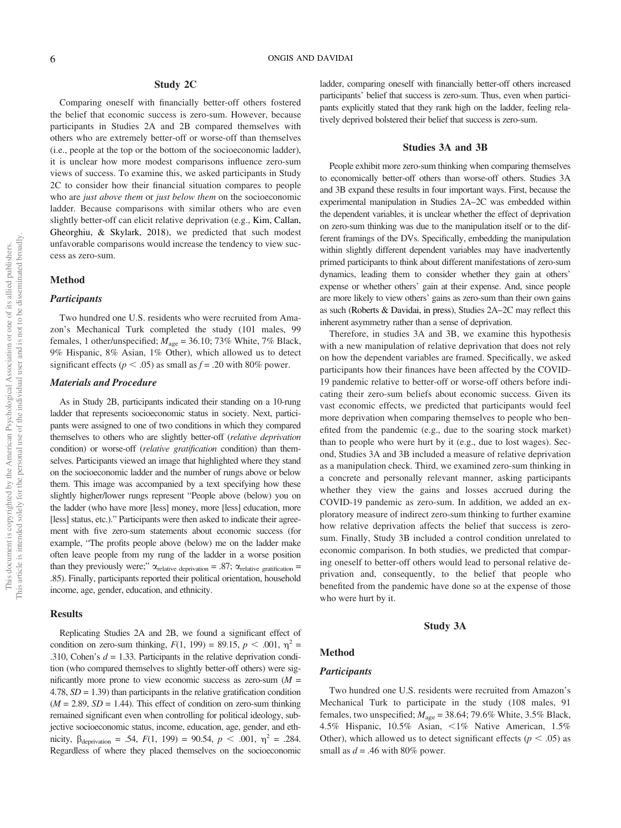# Study 2C

Comparing oneself with financially better-off others fostered the belief that economic success is zero-sum. However, because participants in Studies 2A and 2B compared themselves with others who are extremely better-off or worse-off than themselves (i.e., people at the top or the bottom of the socioeconomic ladder), it is unclear how more modest comparisons influence zero-sum views of success. To examine this, we asked participants in Study 2C to consider how their financial situation compares to people who are *just above them* or *just below them* on the socioeconomic ladder. Because comparisons with similar others who are even slightly better-off can elicit relative deprivation (e.g., Kim, Callan, Gheorghiu, & Skylark, 2018), we predicted that such modest unfavorable comparisons would increase the tendency to view success as zero-sum.

#### Method

# **Participants**

Two hundred one U.S. residents who were recruited from Amazon's Mechanical Turk completed the study (101 males, 99 females, 1 other/unspecified;  $M_{\text{age}} = 36.10$ ; 73% White, 7% Black, 9% Hispanic, 8% Asian, 1% Other), which allowed us to detect significant effects ( $p < .05$ ) as small as  $f = .20$  with 80% power.

#### Materials and Procedure

As in Study 2B, participants indicated their standing on a 10-rung ladder that represents socioeconomic status in society. Next, participants were assigned to one of two conditions in which they compared themselves to others who are slightly better-off (*relative deprivation* condition) or worse-off (*relative gratification* condition) than themselves. Participants viewed an image that highlighted where they stand on the socioeconomic ladder and the number of rungs above or below them. This image was accompanied by a text specifying how these slightly higher/lower rungs represent "People above (below) you on the ladder (who have more [less] money, more [less] education, more [less] status, etc.)." Participants were then asked to indicate their agreement with five zero-sum statements about economic success (for example, "The profits people above (below) me on the ladder make often leave people from my rung of the ladder in a worse position than they previously were;"  $\alpha_{relative\;derivation} = .87; \alpha_{relative\;gratification} =$ .85). Finally, participants reported their political orientation, household income, age, gender, education, and ethnicity.

# **Results**

Replicating Studies 2A and 2B, we found a significant effect of condition on zero-sum thinking,  $F(1, 199) = 89.15$ ,  $p < .001$ ,  $\eta^2 =$ .310, Cohen's  $d = 1.33$ . Participants in the relative deprivation condition (who compared themselves to slightly better-off others) were significantly more prone to view economic success as zero-sum  $(M =$ 4.78,  $SD = 1.39$ ) than participants in the relative gratification condition  $(M = 2.89, SD = 1.44)$ . This effect of condition on zero-sum thinking remained significant even when controlling for political ideology, subjective socioeconomic status, income, education, age, gender, and ethnicity,  $\beta_{\text{deprivation}} = .54, F(1, 199) = 90.54, p < .001, \eta^2 = .284.$ Regardless of where they placed themselves on the socioeconomic ladder, comparing oneself with financially better-off others increased participants' belief that success is zero-sum. Thus, even when participants explicitly stated that they rank high on the ladder, feeling relatively deprived bolstered their belief that success is zero-sum.

#### Studies 3A and 3B

People exhibit more zero-sum thinking when comparing themselves to economically better-off others than worse-off others. Studies 3A and 3B expand these results in four important ways. First, because the experimental manipulation in Studies 2A–2C was embedded within the dependent variables, it is unclear whether the effect of deprivation on zero-sum thinking was due to the manipulation itself or to the different framings of the DVs. Specifically, embedding the manipulation within slightly different dependent variables may have inadvertently primed participants to think about different manifestations of zero-sum dynamics, leading them to consider whether they gain at others' expense or whether others' gain at their expense. And, since people are more likely to view others' gains as zero-sum than their own gains as such (Roberts & Davidai, in press), Studies 2A–2C may reflect this inherent asymmetry rather than a sense of deprivation.

Therefore, in studies 3A and 3B, we examine this hypothesis with a new manipulation of relative deprivation that does not rely on how the dependent variables are framed. Specifically, we asked participants how their finances have been affected by the COVID-19 pandemic relative to better-off or worse-off others before indicating their zero-sum beliefs about economic success. Given its vast economic effects, we predicted that participants would feel more deprivation when comparing themselves to people who benefited from the pandemic (e.g., due to the soaring stock market) than to people who were hurt by it (e.g., due to lost wages). Second, Studies 3A and 3B included a measure of relative deprivation as a manipulation check. Third, we examined zero-sum thinking in a concrete and personally relevant manner, asking participants whether they view the gains and losses accrued during the COVID-19 pandemic as zero-sum. In addition, we added an exploratory measure of indirect zero-sum thinking to further examine how relative deprivation affects the belief that success is zerosum. Finally, Study 3B included a control condition unrelated to economic comparison. In both studies, we predicted that comparing oneself to better-off others would lead to personal relative deprivation and, consequently, to the belief that people who benefited from the pandemic have done so at the expense of those who were hurt by it.

#### Study 3A

### Method

# **Participants**

Two hundred one U.S. residents were recruited from Amazon's Mechanical Turk to participate in the study (108 males, 91 females, two unspecified;  $M_{\text{age}} = 38.64$ ; 79.6% White, 3.5% Black, 4.5% Hispanic, 10.5% Asian,  $\lt 1\%$  Native American, 1.5% Other), which allowed us to detect significant effects ( $p < .05$ ) as small as  $d = .46$  with 80% power.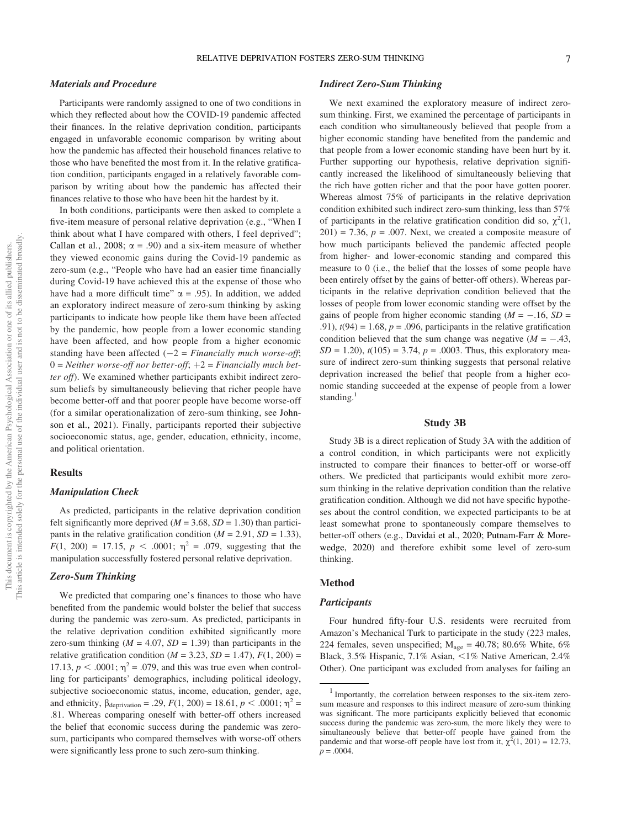### Materials and Procedure

Participants were randomly assigned to one of two conditions in which they reflected about how the COVID-19 pandemic affected their finances. In the relative deprivation condition, participants engaged in unfavorable economic comparison by writing about how the pandemic has affected their household finances relative to those who have benefited the most from it. In the relative gratification condition, participants engaged in a relatively favorable comparison by writing about how the pandemic has affected their finances relative to those who have been hit the hardest by it.

In both conditions, participants were then asked to complete a five-item measure of personal relative deprivation (e.g., "When I think about what I have compared with others, I feel deprived"; Callan et al., 2008;  $\alpha = .90$ ) and a six-item measure of whether they viewed economic gains during the Covid-19 pandemic as zero-sum (e.g., "People who have had an easier time financially during Covid-19 have achieved this at the expense of those who have had a more difficult time"  $\alpha$  = .95). In addition, we added an exploratory indirect measure of zero-sum thinking by asking participants to indicate how people like them have been affected by the pandemic, how people from a lower economic standing have been affected, and how people from a higher economic standing have been affected  $(-2)$  = *Financially much worse-off*;  $0 = Neither$  worse-off nor better-off;  $+2 = Financial$ *y* much bet*ter off*). We examined whether participants exhibit indirect zerosum beliefs by simultaneously believing that richer people have become better-off and that poorer people have become worse-off (for a similar operationalization of zero-sum thinking, see Johnson et al., 2021). Finally, participants reported their subjective socioeconomic status, age, gender, education, ethnicity, income, and political orientation.

# **Results**

# Manipulation Check

As predicted, participants in the relative deprivation condition felt significantly more deprived ( $M = 3.68$ ,  $SD = 1.30$ ) than participants in the relative gratification condition  $(M = 2.91, SD = 1.33)$ ,  $F(1, 200) = 17.15, p < .0001; \eta^2 = .079$ , suggesting that the manipulation successfully fostered personal relative deprivation.

#### Zero-Sum Thinking

We predicted that comparing one's finances to those who have benefited from the pandemic would bolster the belief that success during the pandemic was zero-sum. As predicted, participants in the relative deprivation condition exhibited significantly more zero-sum thinking  $(M = 4.07, SD = 1.39)$  than participants in the relative gratification condition ( $M = 3.23$ ,  $SD = 1.47$ ),  $F(1, 200) =$ 17.13,  $p < .0001$ ;  $\eta^2 = .079$ , and this was true even when controlling for participants' demographics, including political ideology, subjective socioeconomic status, income, education, gender, age, and ethnicity,  $\beta_{\text{deprivation}} = .29, F(1, 200) = 18.61, p < .0001; \eta^2 =$ .81. Whereas comparing oneself with better-off others increased the belief that economic success during the pandemic was zerosum, participants who compared themselves with worse-off others were significantly less prone to such zero-sum thinking.

# Indirect Zero-Sum Thinking

We next examined the exploratory measure of indirect zerosum thinking. First, we examined the percentage of participants in each condition who simultaneously believed that people from a higher economic standing have benefited from the pandemic and that people from a lower economic standing have been hurt by it. Further supporting our hypothesis, relative deprivation significantly increased the likelihood of simultaneously believing that the rich have gotten richer and that the poor have gotten poorer. Whereas almost 75% of participants in the relative deprivation condition exhibited such indirect zero-sum thinking, less than 57% of participants in the relative gratification condition did so,  $\chi^2(1)$ ,  $201$ ) = 7.36,  $p = .007$ . Next, we created a composite measure of how much participants believed the pandemic affected people from higher- and lower-economic standing and compared this measure to 0 (i.e., the belief that the losses of some people have been entirely offset by the gains of better-off others). Whereas participants in the relative deprivation condition believed that the losses of people from lower economic standing were offset by the gains of people from higher economic standing  $(M = -.16, SD =$ .91),  $t(94) = 1.68$ ,  $p = .096$ , participants in the relative gratification condition believed that the sum change was negative  $(M = -.43, )$ *SD* = 1.20),  $t(105)$  = 3.74,  $p = .0003$ . Thus, this exploratory measure of indirect zero-sum thinking suggests that personal relative deprivation increased the belief that people from a higher economic standing succeeded at the expense of people from a lower standing. $<sup>1</sup>$ </sup>

# Study 3B

Study 3B is a direct replication of Study 3A with the addition of a control condition, in which participants were not explicitly instructed to compare their finances to better-off or worse-off others. We predicted that participants would exhibit more zerosum thinking in the relative deprivation condition than the relative gratification condition. Although we did not have specific hypotheses about the control condition, we expected participants to be at least somewhat prone to spontaneously compare themselves to better-off others (e.g., Davidai et al., 2020; Putnam-Farr & Morewedge, 2020) and therefore exhibit some level of zero-sum thinking.

#### Method

# **Participants**

Four hundred fifty-four U.S. residents were recruited from Amazon's Mechanical Turk to participate in the study (223 males, 224 females, seven unspecified;  $M_{\text{age}} = 40.78$ ; 80.6% White, 6% Black, 3.5% Hispanic, 7.1% Asian,  $\lt 1\%$  Native American, 2.4% Other). One participant was excluded from analyses for failing an

<sup>1</sup> Importantly, the correlation between responses to the six-item zerosum measure and responses to this indirect measure of zero-sum thinking was significant. The more participants explicitly believed that economic success during the pandemic was zero-sum, the more likely they were to simultaneously believe that better-off people have gained from the pandemic and that worse-off people have lost from it,  $\chi^2(1, 201) = 12.73$ ,  $p = .0004$ .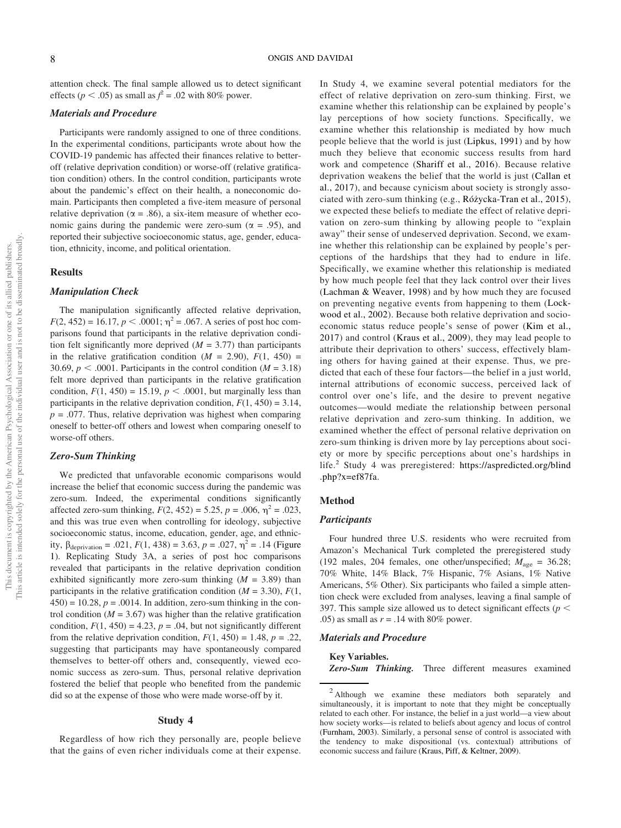attention check. The final sample allowed us to detect significant effects ( $p < .05$ ) as small as  $f^2 = .02$  with 80% power.

# Materials and Procedure

Participants were randomly assigned to one of three conditions. In the experimental conditions, participants wrote about how the COVID-19 pandemic has affected their finances relative to betteroff (relative deprivation condition) or worse-off (relative gratification condition) others. In the control condition, participants wrote about the pandemic's effect on their health, a noneconomic domain. Participants then completed a five-item measure of personal relative deprivation ( $\alpha = .86$ ), a six-item measure of whether economic gains during the pandemic were zero-sum ( $\alpha = .95$ ), and reported their subjective socioeconomic status, age, gender, education, ethnicity, income, and political orientation.

### Results

#### Manipulation Check

The manipulation significantly affected relative deprivation,  $F(2, 452) = 16.17, p < .0001; \eta^2 = .067$ . A series of post hoc comparisons found that participants in the relative deprivation condition felt significantly more deprived  $(M = 3.77)$  than participants in the relative gratification condition  $(M = 2.90)$ ,  $F(1, 450) =$ 30.69,  $p < .0001$ . Participants in the control condition ( $M = 3.18$ ) felt more deprived than participants in the relative gratification condition,  $F(1, 450) = 15.19$ ,  $p < .0001$ , but marginally less than participants in the relative deprivation condition,  $F(1, 450) = 3.14$ ,  $p = .077$ . Thus, relative deprivation was highest when comparing oneself to better-off others and lowest when comparing oneself to worse-off others.

# Zero-Sum Thinking

We predicted that unfavorable economic comparisons would increase the belief that economic success during the pandemic was zero-sum. Indeed, the experimental conditions significantly affected zero-sum thinking,  $F(2, 452) = 5.25$ ,  $p = .006$ ,  $\eta^2 = .023$ , and this was true even when controlling for ideology, subjective socioeconomic status, income, education, gender, age, and ethnicity,  $\beta_{\text{deprivation}} = .021, F(1, 438) = 3.63, p = .027, \eta^2 = .14$  (Figure 1). Replicating Study 3A, a series of post hoc comparisons revealed that participants in the relative deprivation condition exhibited significantly more zero-sum thinking  $(M = 3.89)$  than participants in the relative gratification condition ( $M = 3.30$ ),  $F(1, 1)$  $(450) = 10.28$ ,  $p = .0014$ . In addition, zero-sum thinking in the control condition  $(M = 3.67)$  was higher than the relative gratification condition,  $F(1, 450) = 4.23$ ,  $p = .04$ , but not significantly different from the relative deprivation condition,  $F(1, 450) = 1.48$ ,  $p = .22$ , suggesting that participants may have spontaneously compared themselves to better-off others and, consequently, viewed economic success as zero-sum. Thus, personal relative deprivation fostered the belief that people who benefited from the pandemic did so at the expense of those who were made worse-off by it.

#### Study 4

Regardless of how rich they personally are, people believe that the gains of even richer individuals come at their expense.

In Study 4, we examine several potential mediators for the effect of relative deprivation on zero-sum thinking. First, we examine whether this relationship can be explained by people's lay perceptions of how society functions. Specifically, we examine whether this relationship is mediated by how much people believe that the world is just (Lipkus, 1991) and by how much they believe that economic success results from hard work and competence (Shariff et al., 2016). Because relative deprivation weakens the belief that the world is just (Callan et al., 2017), and because cynicism about society is strongly associated with zero-sum thinking (e.g., Różycka-Tran et al., 2015), we expected these beliefs to mediate the effect of relative deprivation on zero-sum thinking by allowing people to "explain away" their sense of undeserved deprivation. Second, we examine whether this relationship can be explained by people's perceptions of the hardships that they had to endure in life. Specifically, we examine whether this relationship is mediated by how much people feel that they lack control over their lives (Lachman & Weaver, 1998) and by how much they are focused on preventing negative events from happening to them (Lockwood et al., 2002). Because both relative deprivation and socioeconomic status reduce people's sense of power (Kim et al., 2017) and control (Kraus et al., 2009), they may lead people to attribute their deprivation to others' success, effectively blaming others for having gained at their expense. Thus, we predicted that each of these four factors—the belief in a just world, internal attributions of economic success, perceived lack of control over one's life, and the desire to prevent negative outcomes—would mediate the relationship between personal relative deprivation and zero-sum thinking. In addition, we examined whether the effect of personal relative deprivation on zero-sum thinking is driven more by lay perceptions about society or more by specific perceptions about one's hardships in life.<sup>2</sup> Study 4 was preregistered: https://aspredicted.org/blind .php?x=ef87fa.

#### Method

#### **Participants**

Four hundred three U.S. residents who were recruited from Amazon's Mechanical Turk completed the preregistered study (192 males, 204 females, one other/unspecified;  $M_{\text{age}} = 36.28$ ; 70% White, 14% Black, 7% Hispanic, 7% Asians, 1% Native Americans, 5% Other). Six participants who failed a simple attention check were excluded from analyses, leaving a final sample of 397. This sample size allowed us to detect significant effects ( $p <$ .05) as small as  $r = .14$  with 80% power.

#### Materials and Procedure

#### Key Variables.

Zero-Sum Thinking. Three different measures examined

<sup>&</sup>lt;sup>2</sup> Although we examine these mediators both separately and simultaneously, it is important to note that they might be conceptually related to each other. For instance, the belief in a just world—a view about how society works—is related to beliefs about agency and locus of control (Furnham, 2003). Similarly, a personal sense of control is associated with the tendency to make dispositional (vs. contextual) attributions of economic success and failure (Kraus, Piff, & Keltner, 2009).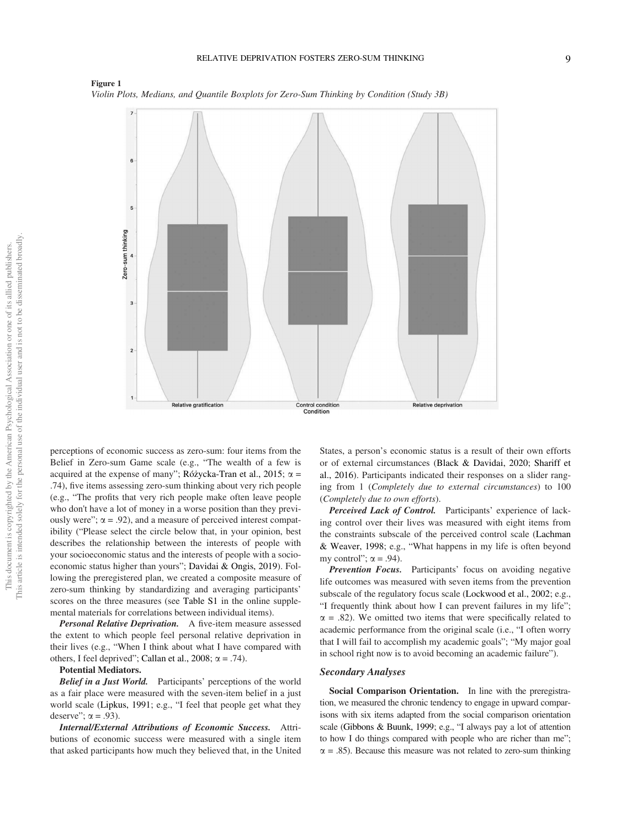



perceptions of economic success as zero-sum: four items from the Belief in Zero-sum Game scale (e.g., "The wealth of a few is acquired at the expense of many"; Różycka-Tran et al., 2015;  $\alpha$  = .74), five items assessing zero-sum thinking about very rich people (e.g., "The profits that very rich people make often leave people who don't have a lot of money in a worse position than they previously were";  $\alpha$  = .92), and a measure of perceived interest compatibility ("Please select the circle below that, in your opinion, best describes the relationship between the interests of people with your socioeconomic status and the interests of people with a socioeconomic status higher than yours"; Davidai & Ongis, 2019). Following the preregistered plan, we created a composite measure of zero-sum thinking by standardizing and averaging participants' scores on the three measures (see Table S1 in the online supplemental materials for correlations between individual items).

Personal Relative Deprivation. A five-item measure assessed the extent to which people feel personal relative deprivation in their lives (e.g., "When I think about what I have compared with others, I feel deprived"; Callan et al., 2008;  $\alpha = .74$ ).

#### Potential Mediators.

Belief in a Just World. Participants' perceptions of the world as a fair place were measured with the seven-item belief in a just world scale (Lipkus, 1991; e.g., "I feel that people get what they deserve";  $\alpha = .93$ ).

Internal/External Attributions of Economic Success. Attributions of economic success were measured with a single item that asked participants how much they believed that, in the United

States, a person's economic status is a result of their own efforts or of external circumstances (Black & Davidai, 2020; Shariff et al., 2016). Participants indicated their responses on a slider ranging from 1 (*Completely due to external circumstances*) to 100 (*Completely due to own efforts*).

Perceived Lack of Control. Participants' experience of lacking control over their lives was measured with eight items from the constraints subscale of the perceived control scale (Lachman & Weaver, 1998; e.g., "What happens in my life is often beyond my control";  $\alpha = .94$ ).

Prevention Focus. Participants' focus on avoiding negative life outcomes was measured with seven items from the prevention subscale of the regulatory focus scale (Lockwood et al., 2002; e.g., "I frequently think about how I can prevent failures in my life";  $\alpha$  = .82). We omitted two items that were specifically related to academic performance from the original scale (i.e., "I often worry that I will fail to accomplish my academic goals"; "My major goal in school right now is to avoid becoming an academic failure").

# Secondary Analyses

Social Comparison Orientation. In line with the preregistration, we measured the chronic tendency to engage in upward comparisons with six items adapted from the social comparison orientation scale (Gibbons & Buunk, 1999; e.g., "I always pay a lot of attention to how I do things compared with people who are richer than me";  $\alpha = .85$ ). Because this measure was not related to zero-sum thinking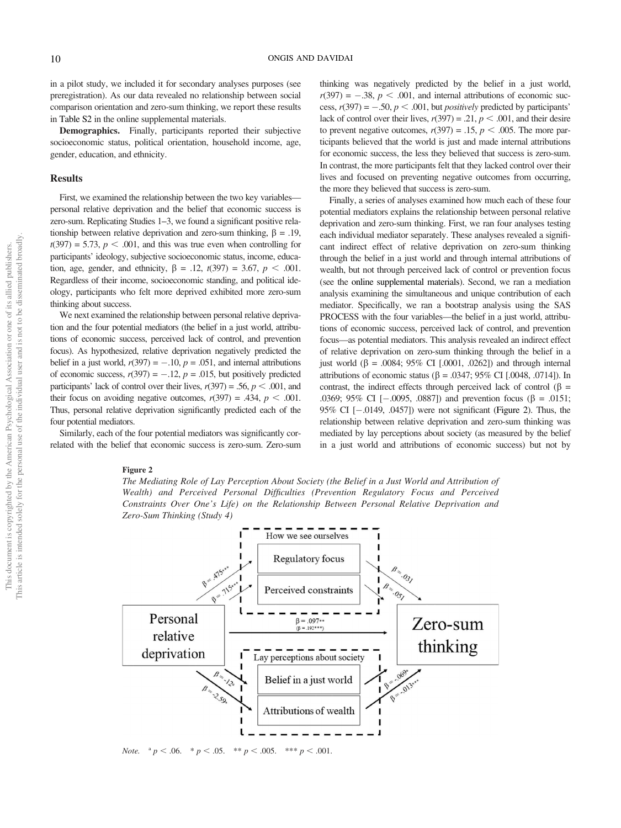in a pilot study, we included it for secondary analyses purposes (see preregistration). As our data revealed no relationship between social comparison orientation and zero-sum thinking, we report these results in Table S2 in the online supplemental materials.

Demographics. Finally, participants reported their subjective socioeconomic status, political orientation, household income, age, gender, education, and ethnicity.

#### Results

This article is intended solely for the personal use of the individual user and is not to be disseminated broadly.This article is intended solely for the personal use of the individual user and is not to be disseminated broadly This document is copyrighted by the American Psychological Association or one of its allied publishers. This document is copyrighted by the American Psychological Association or one of its allied publishers.

First, we examined the relationship between the two key variables personal relative deprivation and the belief that economic success is zero-sum. Replicating Studies 1–3, we found a significant positive relationship between relative deprivation and zero-sum thinking,  $\beta = .19$ ,  $t(397) = 5.73$ ,  $p < .001$ , and this was true even when controlling for participants' ideology, subjective socioeconomic status, income, education, age, gender, and ethnicity,  $\beta = .12, t(397) = 3.67, p < .001$ . Regardless of their income, socioeconomic standing, and political ideology, participants who felt more deprived exhibited more zero-sum thinking about success.

We next examined the relationship between personal relative deprivation and the four potential mediators (the belief in a just world, attributions of economic success, perceived lack of control, and prevention focus). As hypothesized, relative deprivation negatively predicted the belief in a just world,  $r(397) = -.10$ ,  $p = .051$ , and internal attributions of economic success,  $r(397) = -.12$ ,  $p = .015$ , but positively predicted participants' lack of control over their lives,  $r(397) = .56$ ,  $p < .001$ , and their focus on avoiding negative outcomes,  $r(397) = .434$ ,  $p < .001$ . Thus, personal relative deprivation significantly predicted each of the four potential mediators.

Similarly, each of the four potential mediators was significantly correlated with the belief that economic success is zero-sum. Zero-sum

#### Figure 2

*The Mediating Role of Lay Perception About Society (the Belief in a Just World and Attribution of Wealth) and Perceived Personal Dif*fi*culties (Prevention Regulatory Focus and Perceived Constraints Over One*'*s Life) on the Relationship Between Personal Relative Deprivation and Zero-Sum Thinking (Study 4)*



*Note.*  ${}^{a}p < .06.$   ${}^{*}p < .05.$   ${}^{**}p < .005.$   ${}^{***}p < .001.$ 

thinking was negatively predicted by the belief in a just world,  $r(397) = -.38$ ,  $p < .001$ , and internal attributions of economic success,  $r(397) = -.50, p < .001$ , but *positively* predicted by participants' lack of control over their lives,  $r(397) = .21$ ,  $p < .001$ , and their desire to prevent negative outcomes,  $r(397) = .15$ ,  $p < .005$ . The more participants believed that the world is just and made internal attributions for economic success, the less they believed that success is zero-sum. In contrast, the more participants felt that they lacked control over their lives and focused on preventing negative outcomes from occurring, the more they believed that success is zero-sum.

Finally, a series of analyses examined how much each of these four potential mediators explains the relationship between personal relative deprivation and zero-sum thinking. First, we ran four analyses testing each individual mediator separately. These analyses revealed a significant indirect effect of relative deprivation on zero-sum thinking through the belief in a just world and through internal attributions of wealth, but not through perceived lack of control or prevention focus (see the online supplemental materials). Second, we ran a mediation analysis examining the simultaneous and unique contribution of each mediator. Specifically, we ran a bootstrap analysis using the SAS PROCESS with the four variables—the belief in a just world, attributions of economic success, perceived lack of control, and prevention focus—as potential mediators. This analysis revealed an indirect effect of relative deprivation on zero-sum thinking through the belief in a just world ( $\beta$  = .0084; 95% CI [.0001, .0262]) and through internal attributions of economic status ( $\beta$  = .0347; 95% CI [.0048, .0714]). In contrast, the indirect effects through perceived lack of control ( $\beta$  = .0369; 95% CI  $[-.0095, .0887]$  and prevention focus ( $\beta = .0151$ ; 95% CI  $[-.0149, .0457]$ ) were not significant (Figure 2). Thus, the relationship between relative deprivation and zero-sum thinking was mediated by lay perceptions about society (as measured by the belief in a just world and attributions of economic success) but not by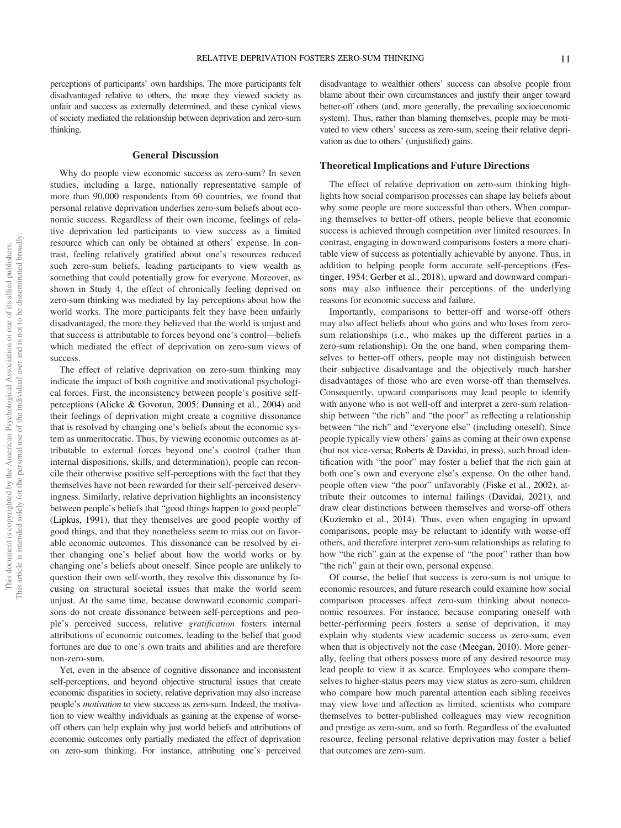perceptions of participants' own hardships. The more participants felt disadvantaged relative to others, the more they viewed society as unfair and success as externally determined, and these cynical views of society mediated the relationship between deprivation and zero-sum thinking.

# General Discussion

Why do people view economic success as zero-sum? In seven studies, including a large, nationally representative sample of more than 90,000 respondents from 60 countries, we found that personal relative deprivation underlies zero-sum beliefs about economic success. Regardless of their own income, feelings of relative deprivation led participants to view success as a limited resource which can only be obtained at others' expense. In contrast, feeling relatively gratified about one's resources reduced such zero-sum beliefs, leading participants to view wealth as something that could potentially grow for everyone. Moreover, as shown in Study 4, the effect of chronically feeling deprived on zero-sum thinking was mediated by lay perceptions about how the world works. The more participants felt they have been unfairly disadvantaged, the more they believed that the world is unjust and that success is attributable to forces beyond one's control—beliefs which mediated the effect of deprivation on zero-sum views of success.

The effect of relative deprivation on zero-sum thinking may indicate the impact of both cognitive and motivational psychological forces. First, the inconsistency between people's positive selfperceptions (Alicke & Govorun, 2005; Dunning et al., 2004) and their feelings of deprivation might create a cognitive dissonance that is resolved by changing one's beliefs about the economic system as unmeritocratic. Thus, by viewing economic outcomes as attributable to external forces beyond one's control (rather than internal dispositions, skills, and determination), people can reconcile their otherwise positive self-perceptions with the fact that they themselves have not been rewarded for their self-perceived deservingness. Similarly, relative deprivation highlights an inconsistency between people's beliefs that "good things happen to good people" (Lipkus, 1991), that they themselves are good people worthy of good things, and that they nonetheless seem to miss out on favorable economic outcomes. This dissonance can be resolved by either changing one's belief about how the world works or by changing one's beliefs about oneself. Since people are unlikely to question their own self-worth, they resolve this dissonance by focusing on structural societal issues that make the world seem unjust. At the same time, because downward economic comparisons do not create dissonance between self-perceptions and people's perceived success, relative *grati*fi*cation* fosters internal attributions of economic outcomes, leading to the belief that good fortunes are due to one's own traits and abilities and are therefore non-zero-sum.

Yet, even in the absence of cognitive dissonance and inconsistent self-perceptions, and beyond objective structural issues that create economic disparities in society, relative deprivation may also increase people's *motivation* to view success as zero-sum. Indeed, the motivation to view wealthy individuals as gaining at the expense of worseoff others can help explain why just world beliefs and attributions of economic outcomes only partially mediated the effect of deprivation on zero-sum thinking. For instance, attributing one's perceived

disadvantage to wealthier others' success can absolve people from blame about their own circumstances and justify their anger toward better-off others (and, more generally, the prevailing socioeconomic system). Thus, rather than blaming themselves, people may be motivated to view others' success as zero-sum, seeing their relative deprivation as due to others' (unjustified) gains.

# Theoretical Implications and Future Directions

The effect of relative deprivation on zero-sum thinking highlights how social comparison processes can shape lay beliefs about why some people are more successful than others. When comparing themselves to better-off others, people believe that economic success is achieved through competition over limited resources. In contrast, engaging in downward comparisons fosters a more charitable view of success as potentially achievable by anyone. Thus, in addition to helping people form accurate self-perceptions (Festinger, 1954; Gerber et al., 2018), upward and downward comparisons may also influence their perceptions of the underlying reasons for economic success and failure.

Importantly, comparisons to better-off and worse-off others may also affect beliefs about who gains and who loses from zerosum relationships (i.e., who makes up the different parties in a zero-sum relationship). On the one hand, when comparing themselves to better-off others, people may not distinguish between their subjective disadvantage and the objectively much harsher disadvantages of those who are even worse-off than themselves. Consequently, upward comparisons may lead people to identify with anyone who is not well-off and interpret a zero-sum relationship between "the rich" and "the poor" as reflecting a relationship between "the rich" and "everyone else" (including oneself). Since people typically view others' gains as coming at their own expense (but not vice-versa; Roberts & Davidai, in press), such broad identification with "the poor" may foster a belief that the rich gain at both one's own and everyone else's expense. On the other hand, people often view "the poor" unfavorably (Fiske et al., 2002), attribute their outcomes to internal failings (Davidai, 2021), and draw clear distinctions between themselves and worse-off others (Kuziemko et al., 2014). Thus, even when engaging in upward comparisons, people may be reluctant to identify with worse-off others, and therefore interpret zero-sum relationships as relating to how "the rich" gain at the expense of "the poor" rather than how "the rich" gain at their own, personal expense.

Of course, the belief that success is zero-sum is not unique to economic resources, and future research could examine how social comparison processes affect zero-sum thinking about noneconomic resources. For instance, because comparing oneself with better-performing peers fosters a sense of deprivation, it may explain why students view academic success as zero-sum, even when that is objectively not the case (Meegan, 2010). More generally, feeling that others possess more of any desired resource may lead people to view it as scarce. Employees who compare themselves to higher-status peers may view status as zero-sum, children who compare how much parental attention each sibling receives may view love and affection as limited, scientists who compare themselves to better-published colleagues may view recognition and prestige as zero-sum, and so forth. Regardless of the evaluated resource, feeling personal relative deprivation may foster a belief that outcomes are zero-sum.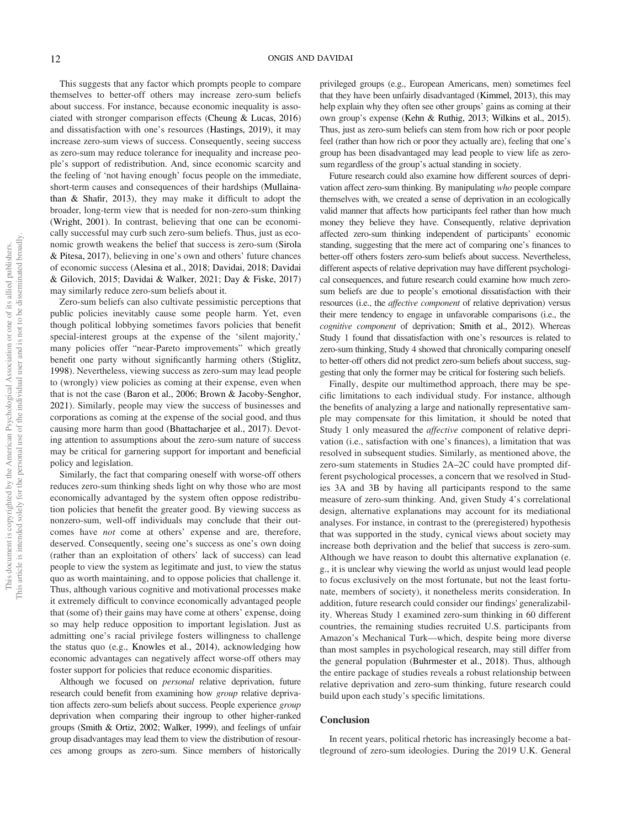This suggests that any factor which prompts people to compare themselves to better-off others may increase zero-sum beliefs about success. For instance, because economic inequality is associated with stronger comparison effects (Cheung & Lucas, 2016) and dissatisfaction with one's resources (Hastings, 2019), it may increase zero-sum views of success. Consequently, seeing success as zero-sum may reduce tolerance for inequality and increase people's support of redistribution. And, since economic scarcity and the feeling of 'not having enough' focus people on the immediate, short-term causes and consequences of their hardships (Mullainathan & Shafir, 2013), they may make it difficult to adopt the broader, long-term view that is needed for non-zero-sum thinking (Wright, 2001). In contrast, believing that one can be economically successful may curb such zero-sum beliefs. Thus, just as economic growth weakens the belief that success is zero-sum (Sirola & Pitesa, 2017), believing in one's own and others' future chances of economic success (Alesina et al., 2018; Davidai, 2018; Davidai & Gilovich, 2015; Davidai & Walker, 2021; Day & Fiske, 2017) may similarly reduce zero-sum beliefs about it.

Zero-sum beliefs can also cultivate pessimistic perceptions that public policies inevitably cause some people harm. Yet, even though political lobbying sometimes favors policies that benefit special-interest groups at the expense of the 'silent majority,' many policies offer "near-Pareto improvements" which greatly benefit one party without significantly harming others (Stiglitz, 1998). Nevertheless, viewing success as zero-sum may lead people to (wrongly) view policies as coming at their expense, even when that is not the case (Baron et al., 2006; Brown & Jacoby-Senghor, 2021). Similarly, people may view the success of businesses and corporations as coming at the expense of the social good, and thus causing more harm than good (Bhattacharjee et al., 2017). Devoting attention to assumptions about the zero-sum nature of success may be critical for garnering support for important and beneficial policy and legislation.

Similarly, the fact that comparing oneself with worse-off others reduces zero-sum thinking sheds light on why those who are most economically advantaged by the system often oppose redistribution policies that benefit the greater good. By viewing success as nonzero-sum, well-off individuals may conclude that their outcomes have *not* come at others' expense and are, therefore, deserved. Consequently, seeing one's success as one's own doing (rather than an exploitation of others' lack of success) can lead people to view the system as legitimate and just, to view the status quo as worth maintaining, and to oppose policies that challenge it. Thus, although various cognitive and motivational processes make it extremely difficult to convince economically advantaged people that (some of) their gains may have come at others' expense, doing so may help reduce opposition to important legislation. Just as admitting one's racial privilege fosters willingness to challenge the status quo (e.g., Knowles et al., 2014), acknowledging how economic advantages can negatively affect worse-off others may foster support for policies that reduce economic disparities.

Although we focused on *personal* relative deprivation, future research could benefit from examining how *group* relative deprivation affects zero-sum beliefs about success. People experience *group* deprivation when comparing their ingroup to other higher-ranked groups (Smith & Ortiz, 2002; Walker, 1999), and feelings of unfair group disadvantages may lead them to view the distribution of resources among groups as zero-sum. Since members of historically privileged groups (e.g., European Americans, men) sometimes feel that they have been unfairly disadvantaged (Kimmel, 2013), this may help explain why they often see other groups' gains as coming at their own group's expense (Kehn & Ruthig, 2013; Wilkins et al., 2015). Thus, just as zero-sum beliefs can stem from how rich or poor people feel (rather than how rich or poor they actually are), feeling that one's group has been disadvantaged may lead people to view life as zerosum regardless of the group's actual standing in society.

Future research could also examine how different sources of deprivation affect zero-sum thinking. By manipulating *who* people compare themselves with, we created a sense of deprivation in an ecologically valid manner that affects how participants feel rather than how much money they believe they have. Consequently, relative deprivation affected zero-sum thinking independent of participants' economic standing, suggesting that the mere act of comparing one's finances to better-off others fosters zero-sum beliefs about success. Nevertheless, different aspects of relative deprivation may have different psychological consequences, and future research could examine how much zerosum beliefs are due to people's emotional dissatisfaction with their resources (i.e., the *affective component* of relative deprivation) versus their mere tendency to engage in unfavorable comparisons (i.e., the *cognitive component* of deprivation; Smith et al., 2012). Whereas Study 1 found that dissatisfaction with one's resources is related to zero-sum thinking, Study 4 showed that chronically comparing oneself to better-off others did not predict zero-sum beliefs about success, suggesting that only the former may be critical for fostering such beliefs.

Finally, despite our multimethod approach, there may be specific limitations to each individual study. For instance, although the benefits of analyzing a large and nationally representative sample may compensate for this limitation, it should be noted that Study 1 only measured the *affective* component of relative deprivation (i.e., satisfaction with one's finances), a limitation that was resolved in subsequent studies. Similarly, as mentioned above, the zero-sum statements in Studies 2A–2C could have prompted different psychological processes, a concern that we resolved in Studies 3A and 3B by having all participants respond to the same measure of zero-sum thinking. And, given Study 4's correlational design, alternative explanations may account for its mediational analyses. For instance, in contrast to the (preregistered) hypothesis that was supported in the study, cynical views about society may increase both deprivation and the belief that success is zero-sum. Although we have reason to doubt this alternative explanation (e. g., it is unclear why viewing the world as unjust would lead people to focus exclusively on the most fortunate, but not the least fortunate, members of society), it nonetheless merits consideration. In addition, future research could consider our findings' generalizability. Whereas Study 1 examined zero-sum thinking in 60 different countries, the remaining studies recruited U.S. participants from Amazon's Mechanical Turk—which, despite being more diverse than most samples in psychological research, may still differ from the general population (Buhrmester et al., 2018). Thus, although the entire package of studies reveals a robust relationship between relative deprivation and zero-sum thinking, future research could build upon each study's specific limitations.

#### **Conclusion**

In recent years, political rhetoric has increasingly become a battleground of zero-sum ideologies. During the 2019 U.K. General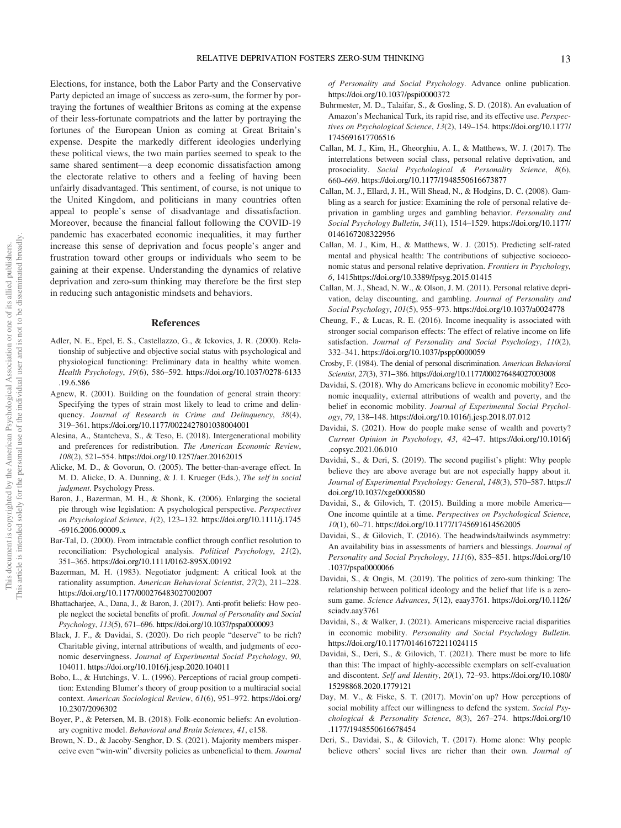Elections, for instance, both the Labor Party and the Conservative Party depicted an image of success as zero-sum, the former by portraying the fortunes of wealthier Britons as coming at the expense of their less-fortunate compatriots and the latter by portraying the fortunes of the European Union as coming at Great Britain's expense. Despite the markedly different ideologies underlying these political views, the two main parties seemed to speak to the same shared sentiment—a deep economic dissatisfaction among the electorate relative to others and a feeling of having been unfairly disadvantaged. This sentiment, of course, is not unique to the United Kingdom, and politicians in many countries often appeal to people's sense of disadvantage and dissatisfaction. Moreover, because the financial fallout following the COVID-19 pandemic has exacerbated economic inequalities, it may further increase this sense of deprivation and focus people's anger and frustration toward other groups or individuals who seem to be gaining at their expense. Understanding the dynamics of relative deprivation and zero-sum thinking may therefore be the first step in reducing such antagonistic mindsets and behaviors.

#### References

- Adler, N. E., Epel, E. S., Castellazzo, G., & Ickovics, J. R. (2000). Relationship of subjective and objective social status with psychological and physiological functioning: Preliminary data in healthy white women. *Health Psychology*, *19*(6), 586–592. https://doi.org/10.1037/0278-6133 .19.6.586
- Agnew, R. (2001). Building on the foundation of general strain theory: Specifying the types of strain most likely to lead to crime and delinquency. *Journal of Research in Crime and Delinquency*, *38*(4), 319–361. https://doi.org/10.1177/0022427801038004001
- Alesina, A., Stantcheva, S., & Teso, E. (2018). Intergenerational mobility and preferences for redistribution. *The American Economic Review*, *108*(2), 521–554. https://doi.org/10.1257/aer.20162015
- Alicke, M. D., & Govorun, O. (2005). The better-than-average effect. In M. D. Alicke, D. A. Dunning, & J. I. Krueger (Eds.), *The self in social judgment*. Psychology Press.
- Baron, J., Bazerman, M. H., & Shonk, K. (2006). Enlarging the societal pie through wise legislation: A psychological perspective. *Perspectives on Psychological Science*, *1*(2), 123–132. https://doi.org/10.1111/j.1745 -6916.2006.00009.x
- Bar-Tal, D. (2000). From intractable conflict through conflict resolution to reconciliation: Psychological analysis. *Political Psychology*, *21*(2), 351–365. https://doi.org/10.1111/0162-895X.00192
- Bazerman, M. H. (1983). Negotiator judgment: A critical look at the rationality assumption. *American Behavioral Scientist*, *27*(2), 211–228. https://doi.org/10.1177/000276483027002007
- Bhattacharjee, A., Dana, J., & Baron, J. (2017). Anti-profit beliefs: How people neglect the societal benefits of profit. *Journal of Personality and Social Psychology*, *113*(5), 671–696. https://doi.org/10.1037/pspa0000093
- Black, J. F., & Davidai, S. (2020). Do rich people "deserve" to be rich? Charitable giving, internal attributions of wealth, and judgments of economic deservingness. *Journal of Experimental Social Psychology*, *90*, 104011. https://doi.org/10.1016/j.jesp.2020.104011
- Bobo, L., & Hutchings, V. L. (1996). Perceptions of racial group competition: Extending Blumer's theory of group position to a multiracial social context. *American Sociological Review*, *61*(6), 951–972. https://doi.org/ 10.2307/2096302
- Boyer, P., & Petersen, M. B. (2018). Folk-economic beliefs: An evolutionary cognitive model. *Behavioral and Brain Sciences*, *41*, e158.
- Brown, N. D., & Jacoby-Senghor, D. S. (2021). Majority members misperceive even "win-win" diversity policies as unbeneficial to them. *Journal*

*of Personality and Social Psychology*. Advance online publication. https://doi.org/10.1037/pspi0000372

- Buhrmester, M. D., Talaifar, S., & Gosling, S. D. (2018). An evaluation of Amazon's Mechanical Turk, its rapid rise, and its effective use. *Perspectives on Psychological Science*, *13*(2), 149–154. https://doi.org/10.1177/ 1745691617706516
- Callan, M. J., Kim, H., Gheorghiu, A. I., & Matthews, W. J. (2017). The interrelations between social class, personal relative deprivation, and prosociality. *Social Psychological & Personality Science*, *8*(6), 660–669. https://doi.org/10.1177/1948550616673877
- Callan, M. J., Ellard, J. H., Will Shead, N., & Hodgins, D. C. (2008). Gambling as a search for justice: Examining the role of personal relative deprivation in gambling urges and gambling behavior. *Personality and Social Psychology Bulletin*, *34*(11), 1514–1529. https://doi.org/10.1177/ 0146167208322956
- Callan, M. J., Kim, H., & Matthews, W. J. (2015). Predicting self-rated mental and physical health: The contributions of subjective socioeconomic status and personal relative deprivation. *Frontiers in Psychology*, *6*, 1415https://doi.org/10.3389/fpsyg.2015.01415
- Callan, M. J., Shead, N. W., & Olson, J. M. (2011). Personal relative deprivation, delay discounting, and gambling. *Journal of Personality and Social Psychology*, *101*(5), 955–973. https://doi.org/10.1037/a0024778
- Cheung, F., & Lucas, R. E. (2016). Income inequality is associated with stronger social comparison effects: The effect of relative income on life satisfaction. *Journal of Personality and Social Psychology*, *110*(2), 332–341. https://doi.org/10.1037/pspp0000059
- Crosby, F. (1984). The denial of personal discrimination. *American Behavioral Scientist*, *27*(3), 371–386. https://doi.org/10.1177/000276484027003008
- Davidai, S. (2018). Why do Americans believe in economic mobility? Economic inequality, external attributions of wealth and poverty, and the belief in economic mobility. *Journal of Experimental Social Psychology*, *79*, 138–148. https://doi.org/10.1016/j.jesp.2018.07.012
- Davidai, S. (2021). How do people make sense of wealth and poverty? *Current Opinion in Psychology*, *43*, 42–47. https://doi.org/10.1016/j .copsyc.2021.06.010
- Davidai, S., & Deri, S. (2019). The second pugilist's plight: Why people believe they are above average but are not especially happy about it. *Journal of Experimental Psychology: General*, *148*(3), 570–587. https:// doi.org/10.1037/xge0000580
- Davidai, S., & Gilovich, T. (2015). Building a more mobile America— One income quintile at a time. *Perspectives on Psychological Science*, *10*(1), 60–71. https://doi.org/10.1177/1745691614562005
- Davidai, S., & Gilovich, T. (2016). The headwinds/tailwinds asymmetry: An availability bias in assessments of barriers and blessings. *Journal of Personality and Social Psychology*, *111*(6), 835–851. https://doi.org/10 .1037/pspa0000066
- Davidai, S., & Ongis, M. (2019). The politics of zero-sum thinking: The relationship between political ideology and the belief that life is a zerosum game. *Science Advances*, *5*(12), eaay3761. https://doi.org/10.1126/ sciadv.aay3761
- Davidai, S., & Walker, J. (2021). Americans misperceive racial disparities in economic mobility. *Personality and Social Psychology Bulletin*. https://doi.org/10.1177/01461672211024115
- Davidai, S., Deri, S., & Gilovich, T. (2021). There must be more to life than this: The impact of highly-accessible exemplars on self-evaluation and discontent. *Self and Identity*, *20*(1), 72–93. https://doi.org/10.1080/ 15298868.2020.1779121
- Day, M. V., & Fiske, S. T. (2017). Movin'on up? How perceptions of social mobility affect our willingness to defend the system. *Social Psychological & Personality Science*, *8*(3), 267–274. https://doi.org/10 .1177/1948550616678454
- Deri, S., Davidai, S., & Gilovich, T. (2017). Home alone: Why people believe others' social lives are richer than their own. *Journal of*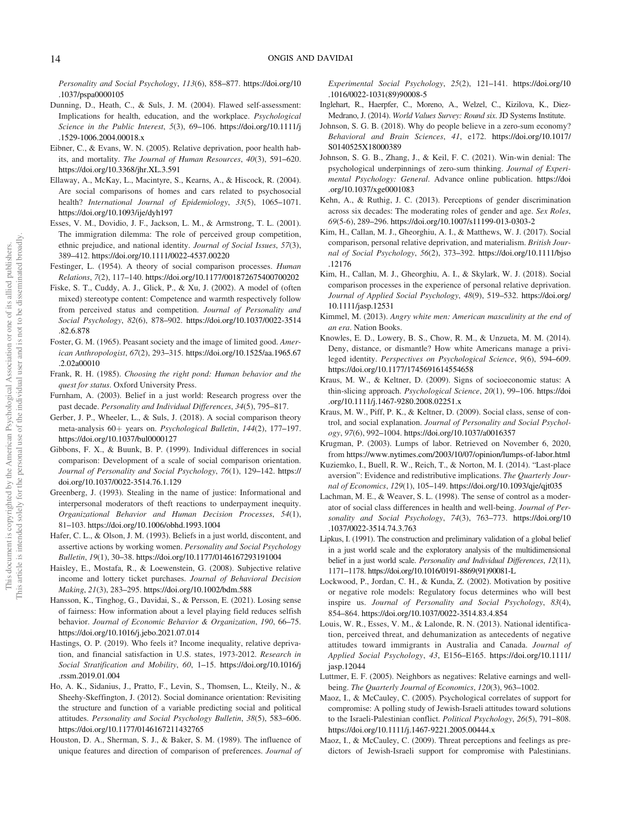*Personality and Social Psychology*, *113*(6), 858–877. https://doi.org/10 .1037/pspa0000105

- Dunning, D., Heath, C., & Suls, J. M. (2004). Flawed self-assessment: Implications for health, education, and the workplace. *Psychological Science in the Public Interest*, *5*(3), 69–106. https://doi.org/10.1111/j .1529-1006.2004.00018.x
- Eibner, C., & Evans, W. N. (2005). Relative deprivation, poor health habits, and mortality. *The Journal of Human Resources*, *40*(3), 591–620. https://doi.org/10.3368/jhr.XL.3.591
- Ellaway, A., McKay, L., Macintyre, S., Kearns, A., & Hiscock, R. (2004). Are social comparisons of homes and cars related to psychosocial health? *International Journal of Epidemiology*, *33*(5), 1065–1071. https://doi.org/10.1093/ije/dyh197
- Esses, V. M., Dovidio, J. F., Jackson, L. M., & Armstrong, T. L. (2001). The immigration dilemma: The role of perceived group competition, ethnic prejudice, and national identity. *Journal of Social Issues*, *57*(3), 389–412. https://doi.org/10.1111/0022-4537.00220
- Festinger, L. (1954). A theory of social comparison processes. *Human Relations*, *7*(2), 117–140. https://doi.org/10.1177/001872675400700202
- Fiske, S. T., Cuddy, A. J., Glick, P., & Xu, J. (2002). A model of (often mixed) stereotype content: Competence and warmth respectively follow from perceived status and competition. *Journal of Personality and Social Psychology*, *82*(6), 878–902. https://doi.org/10.1037/0022-3514 .82.6.878
- Foster, G. M. (1965). Peasant society and the image of limited good. *American Anthropologist*, *67*(2), 293–315. https://doi.org/10.1525/aa.1965.67 .2.02a00010
- Frank, R. H. (1985). *Choosing the right pond: Human behavior and the quest for status*. Oxford University Press.
- Furnham, A. (2003). Belief in a just world: Research progress over the past decade. *Personality and Individual Differences*, *34*(5), 795–817.
- Gerber, J. P., Wheeler, L., & Suls, J. (2018). A social comparison theory meta-analysis 60+ years on. *Psychological Bulletin*, 144(2), 177-197. https://doi.org/10.1037/bul0000127
- Gibbons, F. X., & Buunk, B. P. (1999). Individual differences in social comparison: Development of a scale of social comparison orientation. *Journal of Personality and Social Psychology*, *76*(1), 129–142. https:// doi.org/10.1037/0022-3514.76.1.129
- Greenberg, J. (1993). Stealing in the name of justice: Informational and interpersonal moderators of theft reactions to underpayment inequity. *Organizational Behavior and Human Decision Processes*, *54*(1), 81–103. https://doi.org/10.1006/obhd.1993.1004
- Hafer, C. L., & Olson, J. M. (1993). Beliefs in a just world, discontent, and assertive actions by working women. *Personality and Social Psychology Bulletin*, *19*(1), 30–38. https://doi.org/10.1177/0146167293191004
- Haisley, E., Mostafa, R., & Loewenstein, G. (2008). Subjective relative income and lottery ticket purchases. *Journal of Behavioral Decision Making*, *21*(3), 283–295. https://doi.org/10.1002/bdm.588
- Hansson, K., Tinghog, G., Davidai, S., & Persson, E. (2021). Losing sense of fairness: How information about a level playing field reduces selfish behavior. *Journal of Economic Behavior & Organization*, *190*, 66–75. https://doi.org/10.1016/j.jebo.2021.07.014
- Hastings, O. P. (2019). Who feels it? Income inequality, relative deprivation, and financial satisfaction in U.S. states, 1973-2012. *Research in Social Stratification and Mobility*, *60*, 1–15. https://doi.org/10.1016/j .rssm.2019.01.004
- Ho, A. K., Sidanius, J., Pratto, F., Levin, S., Thomsen, L., Kteily, N., & Sheehy-Skeffington, J. (2012). Social dominance orientation: Revisiting the structure and function of a variable predicting social and political attitudes. *Personality and Social Psychology Bulletin*, *38*(5), 583–606. https://doi.org/10.1177/0146167211432765
- Houston, D. A., Sherman, S. J., & Baker, S. M. (1989). The influence of unique features and direction of comparison of preferences. *Journal of*

*Experimental Social Psychology*, *25*(2), 121–141. https://doi.org/10 .1016/0022-1031(89)90008-5

- Inglehart, R., Haerpfer, C., Moreno, A., Welzel, C., Kizilova, K., Diez-Medrano, J. (2014). *World Values Survey: Round six*. JD Systems Institute.
- Johnson, S. G. B. (2018). Why do people believe in a zero-sum economy? *Behavioral and Brain Sciences*, *41*, e172. https://doi.org/10.1017/ S0140525X18000389
- Johnson, S. G. B., Zhang, J., & Keil, F. C. (2021). Win-win denial: The psychological underpinnings of zero-sum thinking. *Journal of Experimental Psychology: General*. Advance online publication. https://doi .org/10.1037/xge0001083
- Kehn, A., & Ruthig, J. C. (2013). Perceptions of gender discrimination across six decades: The moderating roles of gender and age. *Sex Roles*, *69*(5-6), 289–296. https://doi.org/10.1007/s11199-013-0303-2
- Kim, H., Callan, M. J., Gheorghiu, A. I., & Matthews, W. J. (2017). Social comparison, personal relative deprivation, and materialism. *British Journal of Social Psychology*, *56*(2), 373–392. https://doi.org/10.1111/bjso .12176
- Kim, H., Callan, M. J., Gheorghiu, A. I., & Skylark, W. J. (2018). Social comparison processes in the experience of personal relative deprivation. *Journal of Applied Social Psychology*, *48*(9), 519–532. https://doi.org/ 10.1111/jasp.12531
- Kimmel, M. (2013). *Angry white men: American masculinity at the end of an era*. Nation Books.
- Knowles, E. D., Lowery, B. S., Chow, R. M., & Unzueta, M. M. (2014). Deny, distance, or dismantle? How white Americans manage a privileged identity. *Perspectives on Psychological Science*, *9*(6), 594–609. https://doi.org/10.1177/1745691614554658
- Kraus, M. W., & Keltner, D. (2009). Signs of socioeconomic status: A thin-slicing approach. *Psychological Science*, *20*(1), 99–106. https://doi .org/10.1111/j.1467-9280.2008.02251.x
- Kraus, M. W., Piff, P. K., & Keltner, D. (2009). Social class, sense of control, and social explanation. *Journal of Personality and Social Psychology*, *97*(6), 992–1004. https://doi.org/10.1037/a0016357
- Krugman, P. (2003). Lumps of labor. Retrieved on November 6, 2020, from https://www.nytimes.com/2003/10/07/opinion/lumps-of-labor.html
- Kuziemko, I., Buell, R. W., Reich, T., & Norton, M. I. (2014). "Last-place aversion": Evidence and redistributive implications. *The Quarterly Journal of Economics*, *129*(1), 105–149. https://doi.org/10.1093/qje/qjt035
- Lachman, M. E., & Weaver, S. L. (1998). The sense of control as a moderator of social class differences in health and well-being. *Journal of Personality and Social Psychology*, *74*(3), 763–773. https://doi.org/10 .1037/0022-3514.74.3.763
- Lipkus, I. (1991). The construction and preliminary validation of a global belief in a just world scale and the exploratory analysis of the multidimensional belief in a just world scale. *Personality and Individual Differences*, *12*(11), 1171–1178. https://doi.org/10.1016/0191-8869(91)90081-L
- Lockwood, P., Jordan, C. H., & Kunda, Z. (2002). Motivation by positive or negative role models: Regulatory focus determines who will best inspire us. *Journal of Personality and Social Psychology*, *83*(4), 854–864. https://doi.org/10.1037/0022-3514.83.4.854
- Louis, W. R., Esses, V. M., & Lalonde, R. N. (2013). National identification, perceived threat, and dehumanization as antecedents of negative attitudes toward immigrants in Australia and Canada. *Journal of Applied Social Psychology*, *43*, E156–E165. https://doi.org/10.1111/ jasp.12044
- Luttmer, E. F. (2005). Neighbors as negatives: Relative earnings and wellbeing. *The Quarterly Journal of Economics*, *120*(3), 963–1002.
- Maoz, I., & McCauley, C. (2005). Psychological correlates of support for compromise: A polling study of Jewish-Israeli attitudes toward solutions to the Israeli-Palestinian conflict. *Political Psychology*, *26*(5), 791–808. https://doi.org/10.1111/j.1467-9221.2005.00444.x
- Maoz, I., & McCauley, C. (2009). Threat perceptions and feelings as predictors of Jewish-Israeli support for compromise with Palestinians.